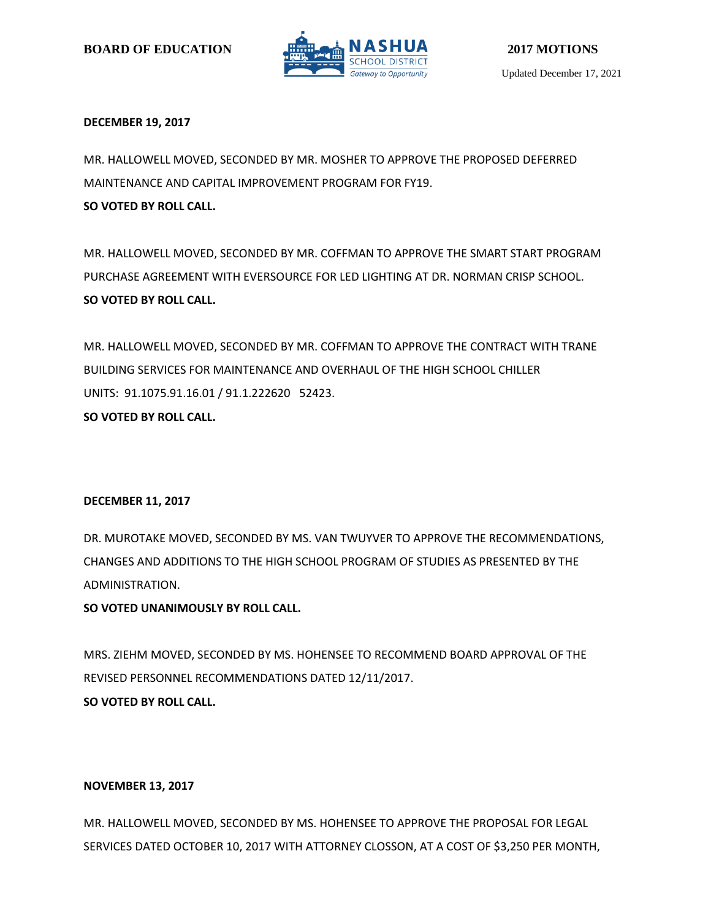

## **DECEMBER 19, 2017**

MR. HALLOWELL MOVED, SECONDED BY MR. MOSHER TO APPROVE THE PROPOSED DEFERRED MAINTENANCE AND CAPITAL IMPROVEMENT PROGRAM FOR FY19. **SO VOTED BY ROLL CALL.**

MR. HALLOWELL MOVED, SECONDED BY MR. COFFMAN TO APPROVE THE SMART START PROGRAM PURCHASE AGREEMENT WITH EVERSOURCE FOR LED LIGHTING AT DR. NORMAN CRISP SCHOOL. **SO VOTED BY ROLL CALL.**

MR. HALLOWELL MOVED, SECONDED BY MR. COFFMAN TO APPROVE THE CONTRACT WITH TRANE BUILDING SERVICES FOR MAINTENANCE AND OVERHAUL OF THE HIGH SCHOOL CHILLER UNITS: 91.1075.91.16.01 / 91.1.222620 52423.

**SO VOTED BY ROLL CALL.**

## **DECEMBER 11, 2017**

DR. MUROTAKE MOVED, SECONDED BY MS. VAN TWUYVER TO APPROVE THE RECOMMENDATIONS, CHANGES AND ADDITIONS TO THE HIGH SCHOOL PROGRAM OF STUDIES AS PRESENTED BY THE ADMINISTRATION.

## **SO VOTED UNANIMOUSLY BY ROLL CALL.**

MRS. ZIEHM MOVED, SECONDED BY MS. HOHENSEE TO RECOMMEND BOARD APPROVAL OF THE REVISED PERSONNEL RECOMMENDATIONS DATED 12/11/2017. **SO VOTED BY ROLL CALL.**

## **NOVEMBER 13, 2017**

MR. HALLOWELL MOVED, SECONDED BY MS. HOHENSEE TO APPROVE THE PROPOSAL FOR LEGAL SERVICES DATED OCTOBER 10, 2017 WITH ATTORNEY CLOSSON, AT A COST OF \$3,250 PER MONTH,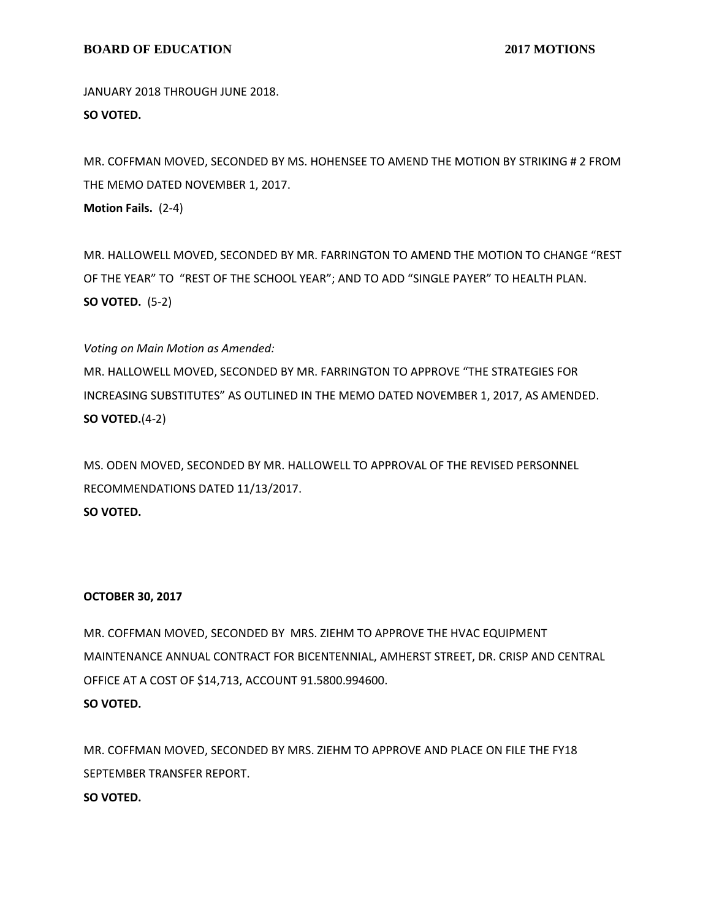#### **BOARD OF EDUCATION** 2017 MOTIONS

JANUARY 2018 THROUGH JUNE 2018. **SO VOTED.**

MR. COFFMAN MOVED, SECONDED BY MS. HOHENSEE TO AMEND THE MOTION BY STRIKING # 2 FROM THE MEMO DATED NOVEMBER 1, 2017. **Motion Fails.** (2-4)

MR. HALLOWELL MOVED, SECONDED BY MR. FARRINGTON TO AMEND THE MOTION TO CHANGE "REST OF THE YEAR" TO "REST OF THE SCHOOL YEAR"; AND TO ADD "SINGLE PAYER" TO HEALTH PLAN. **SO VOTED.** (5-2)

## *Voting on Main Motion as Amended:*

MR. HALLOWELL MOVED, SECONDED BY MR. FARRINGTON TO APPROVE "THE STRATEGIES FOR INCREASING SUBSTITUTES" AS OUTLINED IN THE MEMO DATED NOVEMBER 1, 2017, AS AMENDED. **SO VOTED.**(4-2)

MS. ODEN MOVED, SECONDED BY MR. HALLOWELL TO APPROVAL OF THE REVISED PERSONNEL RECOMMENDATIONS DATED 11/13/2017. **SO VOTED.**

#### **OCTOBER 30, 2017**

MR. COFFMAN MOVED, SECONDED BY MRS. ZIEHM TO APPROVE THE HVAC EQUIPMENT MAINTENANCE ANNUAL CONTRACT FOR BICENTENNIAL, AMHERST STREET, DR. CRISP AND CENTRAL OFFICE AT A COST OF \$14,713, ACCOUNT 91.5800.994600. **SO VOTED.**

MR. COFFMAN MOVED, SECONDED BY MRS. ZIEHM TO APPROVE AND PLACE ON FILE THE FY18 SEPTEMBER TRANSFER REPORT.

**SO VOTED.**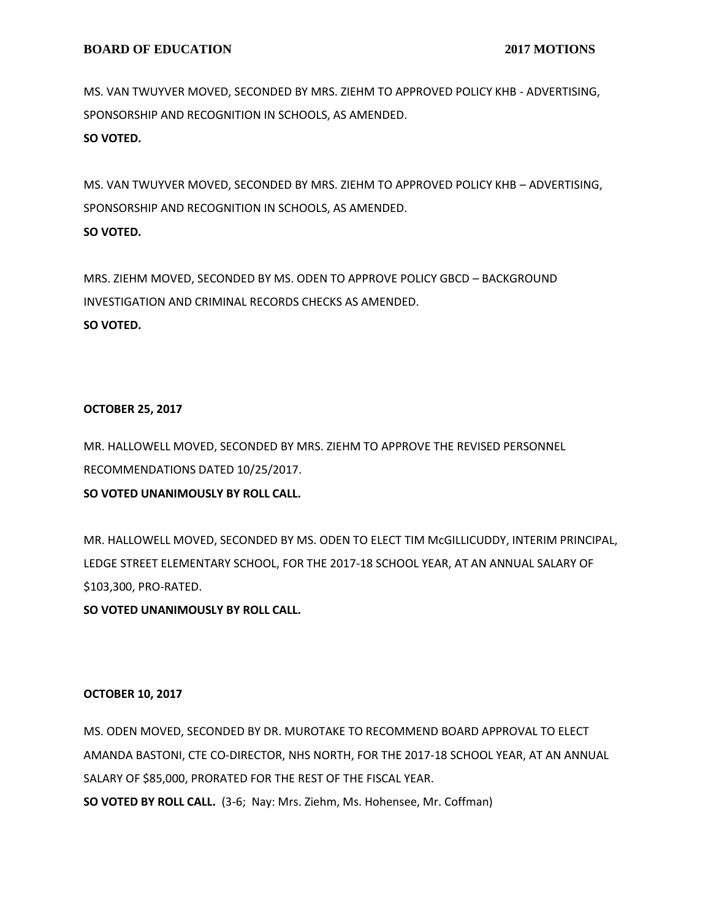MS. VAN TWUYVER MOVED, SECONDED BY MRS. ZIEHM TO APPROVED POLICY KHB - ADVERTISING, SPONSORSHIP AND RECOGNITION IN SCHOOLS, AS AMENDED. **SO VOTED.**

MS. VAN TWUYVER MOVED, SECONDED BY MRS. ZIEHM TO APPROVED POLICY KHB – ADVERTISING, SPONSORSHIP AND RECOGNITION IN SCHOOLS, AS AMENDED. **SO VOTED.**

MRS. ZIEHM MOVED, SECONDED BY MS. ODEN TO APPROVE POLICY GBCD – BACKGROUND INVESTIGATION AND CRIMINAL RECORDS CHECKS AS AMENDED. **SO VOTED.**

#### **OCTOBER 25, 2017**

MR. HALLOWELL MOVED, SECONDED BY MRS. ZIEHM TO APPROVE THE REVISED PERSONNEL RECOMMENDATIONS DATED 10/25/2017.

## **SO VOTED UNANIMOUSLY BY ROLL CALL.**

MR. HALLOWELL MOVED, SECONDED BY MS. ODEN TO ELECT TIM McGILLICUDDY, INTERIM PRINCIPAL, LEDGE STREET ELEMENTARY SCHOOL, FOR THE 2017-18 SCHOOL YEAR, AT AN ANNUAL SALARY OF \$103,300, PRO-RATED.

**SO VOTED UNANIMOUSLY BY ROLL CALL.**

#### **OCTOBER 10, 2017**

MS. ODEN MOVED, SECONDED BY DR. MUROTAKE TO RECOMMEND BOARD APPROVAL TO ELECT AMANDA BASTONI, CTE CO-DIRECTOR, NHS NORTH, FOR THE 2017-18 SCHOOL YEAR, AT AN ANNUAL SALARY OF \$85,000, PRORATED FOR THE REST OF THE FISCAL YEAR. **SO VOTED BY ROLL CALL.** (3-6; Nay: Mrs. Ziehm, Ms. Hohensee, Mr. Coffman)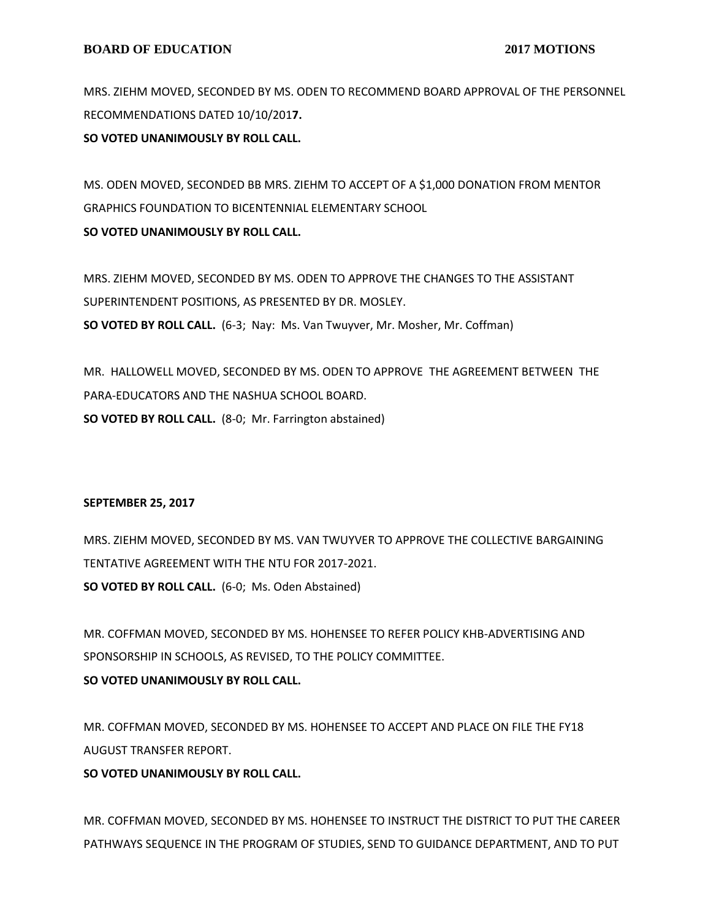MRS. ZIEHM MOVED, SECONDED BY MS. ODEN TO RECOMMEND BOARD APPROVAL OF THE PERSONNEL RECOMMENDATIONS DATED 10/10/201**7.**

**SO VOTED UNANIMOUSLY BY ROLL CALL.**

MS. ODEN MOVED, SECONDED BB MRS. ZIEHM TO ACCEPT OF A \$1,000 DONATION FROM MENTOR GRAPHICS FOUNDATION TO BICENTENNIAL ELEMENTARY SCHOOL **SO VOTED UNANIMOUSLY BY ROLL CALL.**

MRS. ZIEHM MOVED, SECONDED BY MS. ODEN TO APPROVE THE CHANGES TO THE ASSISTANT SUPERINTENDENT POSITIONS, AS PRESENTED BY DR. MOSLEY. **SO VOTED BY ROLL CALL.** (6-3; Nay: Ms. Van Twuyver, Mr. Mosher, Mr. Coffman)

MR. HALLOWELL MOVED, SECONDED BY MS. ODEN TO APPROVE THE AGREEMENT BETWEEN THE PARA-EDUCATORS AND THE NASHUA SCHOOL BOARD. **SO VOTED BY ROLL CALL.** (8-0; Mr. Farrington abstained)

## **SEPTEMBER 25, 2017**

MRS. ZIEHM MOVED, SECONDED BY MS. VAN TWUYVER TO APPROVE THE COLLECTIVE BARGAINING TENTATIVE AGREEMENT WITH THE NTU FOR 2017-2021. **SO VOTED BY ROLL CALL.** (6-0; Ms. Oden Abstained)

MR. COFFMAN MOVED, SECONDED BY MS. HOHENSEE TO REFER POLICY KHB-ADVERTISING AND SPONSORSHIP IN SCHOOLS, AS REVISED, TO THE POLICY COMMITTEE. **SO VOTED UNANIMOUSLY BY ROLL CALL.**

MR. COFFMAN MOVED, SECONDED BY MS. HOHENSEE TO ACCEPT AND PLACE ON FILE THE FY18 AUGUST TRANSFER REPORT.

# **SO VOTED UNANIMOUSLY BY ROLL CALL.**

MR. COFFMAN MOVED, SECONDED BY MS. HOHENSEE TO INSTRUCT THE DISTRICT TO PUT THE CAREER PATHWAYS SEQUENCE IN THE PROGRAM OF STUDIES, SEND TO GUIDANCE DEPARTMENT, AND TO PUT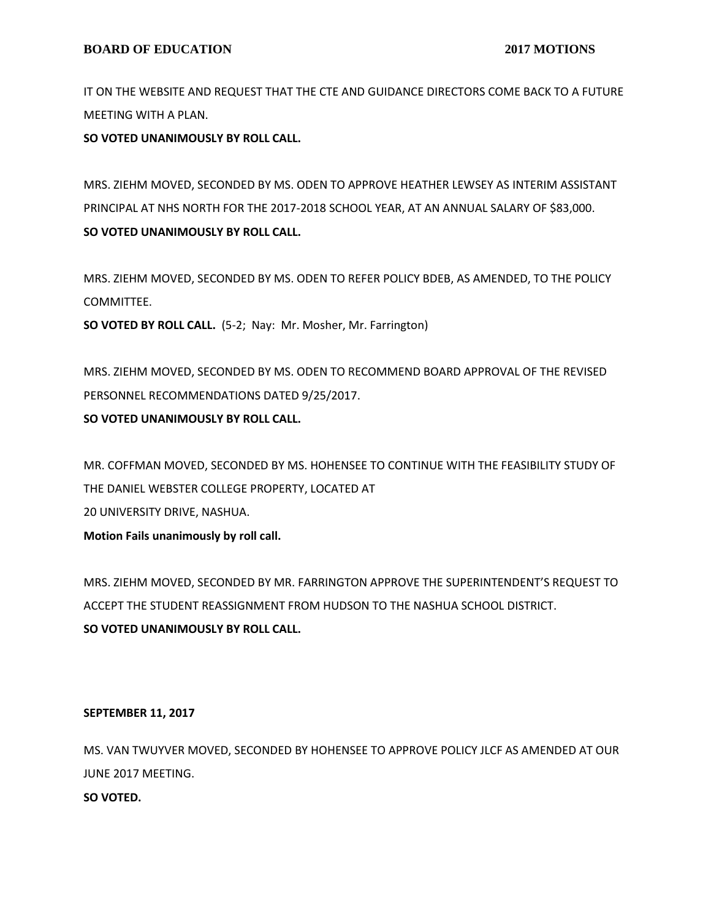IT ON THE WEBSITE AND REQUEST THAT THE CTE AND GUIDANCE DIRECTORS COME BACK TO A FUTURE MEETING WITH A PLAN.

**SO VOTED UNANIMOUSLY BY ROLL CALL.**

MRS. ZIEHM MOVED, SECONDED BY MS. ODEN TO APPROVE HEATHER LEWSEY AS INTERIM ASSISTANT PRINCIPAL AT NHS NORTH FOR THE 2017-2018 SCHOOL YEAR, AT AN ANNUAL SALARY OF \$83,000. **SO VOTED UNANIMOUSLY BY ROLL CALL.**

MRS. ZIEHM MOVED, SECONDED BY MS. ODEN TO REFER POLICY BDEB, AS AMENDED, TO THE POLICY COMMITTEE.

**SO VOTED BY ROLL CALL.** (5-2; Nay: Mr. Mosher, Mr. Farrington)

MRS. ZIEHM MOVED, SECONDED BY MS. ODEN TO RECOMMEND BOARD APPROVAL OF THE REVISED PERSONNEL RECOMMENDATIONS DATED 9/25/2017.

**SO VOTED UNANIMOUSLY BY ROLL CALL.**

MR. COFFMAN MOVED, SECONDED BY MS. HOHENSEE TO CONTINUE WITH THE FEASIBILITY STUDY OF THE DANIEL WEBSTER COLLEGE PROPERTY, LOCATED AT 20 UNIVERSITY DRIVE, NASHUA. **Motion Fails unanimously by roll call.**

MRS. ZIEHM MOVED, SECONDED BY MR. FARRINGTON APPROVE THE SUPERINTENDENT'S REQUEST TO ACCEPT THE STUDENT REASSIGNMENT FROM HUDSON TO THE NASHUA SCHOOL DISTRICT. **SO VOTED UNANIMOUSLY BY ROLL CALL.**

## **SEPTEMBER 11, 2017**

MS. VAN TWUYVER MOVED, SECONDED BY HOHENSEE TO APPROVE POLICY JLCF AS AMENDED AT OUR JUNE 2017 MEETING.

**SO VOTED.**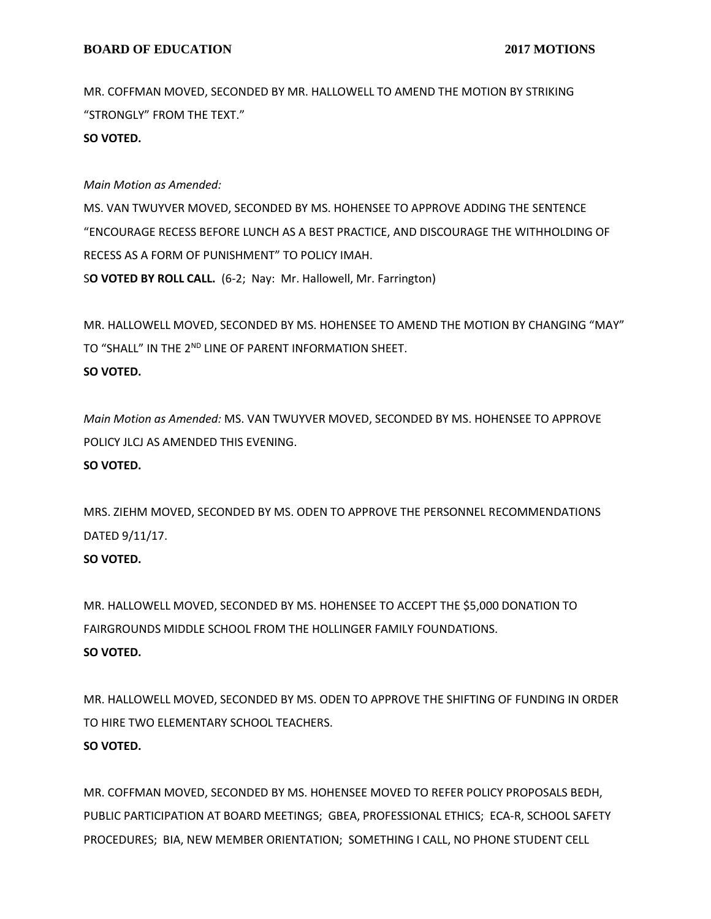MR. COFFMAN MOVED, SECONDED BY MR. HALLOWELL TO AMEND THE MOTION BY STRIKING "STRONGLY" FROM THE TEXT."

**SO VOTED.**

#### *Main Motion as Amended:*

MS. VAN TWUYVER MOVED, SECONDED BY MS. HOHENSEE TO APPROVE ADDING THE SENTENCE "ENCOURAGE RECESS BEFORE LUNCH AS A BEST PRACTICE, AND DISCOURAGE THE WITHHOLDING OF RECESS AS A FORM OF PUNISHMENT" TO POLICY IMAH. S**O VOTED BY ROLL CALL.** (6-2; Nay: Mr. Hallowell, Mr. Farrington)

MR. HALLOWELL MOVED, SECONDED BY MS. HOHENSEE TO AMEND THE MOTION BY CHANGING "MAY" TO "SHALL" IN THE 2<sup>ND</sup> LINE OF PARENT INFORMATION SHEET. **SO VOTED.**

*Main Motion as Amended:* MS. VAN TWUYVER MOVED, SECONDED BY MS. HOHENSEE TO APPROVE POLICY JLCJ AS AMENDED THIS EVENING.

#### **SO VOTED.**

MRS. ZIEHM MOVED, SECONDED BY MS. ODEN TO APPROVE THE PERSONNEL RECOMMENDATIONS DATED 9/11/17.

#### **SO VOTED.**

MR. HALLOWELL MOVED, SECONDED BY MS. HOHENSEE TO ACCEPT THE \$5,000 DONATION TO FAIRGROUNDS MIDDLE SCHOOL FROM THE HOLLINGER FAMILY FOUNDATIONS. **SO VOTED.**

MR. HALLOWELL MOVED, SECONDED BY MS. ODEN TO APPROVE THE SHIFTING OF FUNDING IN ORDER TO HIRE TWO ELEMENTARY SCHOOL TEACHERS. **SO VOTED.**

MR. COFFMAN MOVED, SECONDED BY MS. HOHENSEE MOVED TO REFER POLICY PROPOSALS BEDH, PUBLIC PARTICIPATION AT BOARD MEETINGS; GBEA, PROFESSIONAL ETHICS; ECA-R, SCHOOL SAFETY PROCEDURES; BIA, NEW MEMBER ORIENTATION; SOMETHING I CALL, NO PHONE STUDENT CELL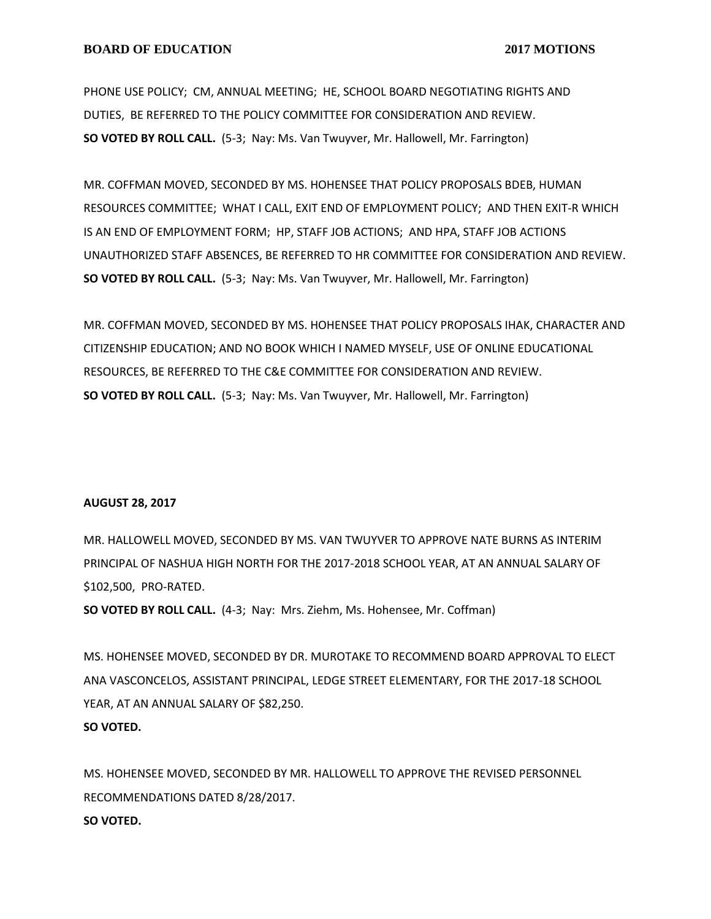PHONE USE POLICY; CM, ANNUAL MEETING; HE, SCHOOL BOARD NEGOTIATING RIGHTS AND DUTIES, BE REFERRED TO THE POLICY COMMITTEE FOR CONSIDERATION AND REVIEW. **SO VOTED BY ROLL CALL.** (5-3; Nay: Ms. Van Twuyver, Mr. Hallowell, Mr. Farrington)

MR. COFFMAN MOVED, SECONDED BY MS. HOHENSEE THAT POLICY PROPOSALS BDEB, HUMAN RESOURCES COMMITTEE; WHAT I CALL, EXIT END OF EMPLOYMENT POLICY; AND THEN EXIT-R WHICH IS AN END OF EMPLOYMENT FORM; HP, STAFF JOB ACTIONS; AND HPA, STAFF JOB ACTIONS UNAUTHORIZED STAFF ABSENCES, BE REFERRED TO HR COMMITTEE FOR CONSIDERATION AND REVIEW. **SO VOTED BY ROLL CALL.** (5-3; Nay: Ms. Van Twuyver, Mr. Hallowell, Mr. Farrington)

MR. COFFMAN MOVED, SECONDED BY MS. HOHENSEE THAT POLICY PROPOSALS IHAK, CHARACTER AND CITIZENSHIP EDUCATION; AND NO BOOK WHICH I NAMED MYSELF, USE OF ONLINE EDUCATIONAL RESOURCES, BE REFERRED TO THE C&E COMMITTEE FOR CONSIDERATION AND REVIEW. **SO VOTED BY ROLL CALL.** (5-3; Nay: Ms. Van Twuyver, Mr. Hallowell, Mr. Farrington)

#### **AUGUST 28, 2017**

MR. HALLOWELL MOVED, SECONDED BY MS. VAN TWUYVER TO APPROVE NATE BURNS AS INTERIM PRINCIPAL OF NASHUA HIGH NORTH FOR THE 2017-2018 SCHOOL YEAR, AT AN ANNUAL SALARY OF \$102,500, PRO-RATED.

**SO VOTED BY ROLL CALL.** (4-3; Nay: Mrs. Ziehm, Ms. Hohensee, Mr. Coffman)

MS. HOHENSEE MOVED, SECONDED BY DR. MUROTAKE TO RECOMMEND BOARD APPROVAL TO ELECT ANA VASCONCELOS, ASSISTANT PRINCIPAL, LEDGE STREET ELEMENTARY, FOR THE 2017-18 SCHOOL YEAR, AT AN ANNUAL SALARY OF \$82,250. **SO VOTED.**

MS. HOHENSEE MOVED, SECONDED BY MR. HALLOWELL TO APPROVE THE REVISED PERSONNEL RECOMMENDATIONS DATED 8/28/2017. **SO VOTED.**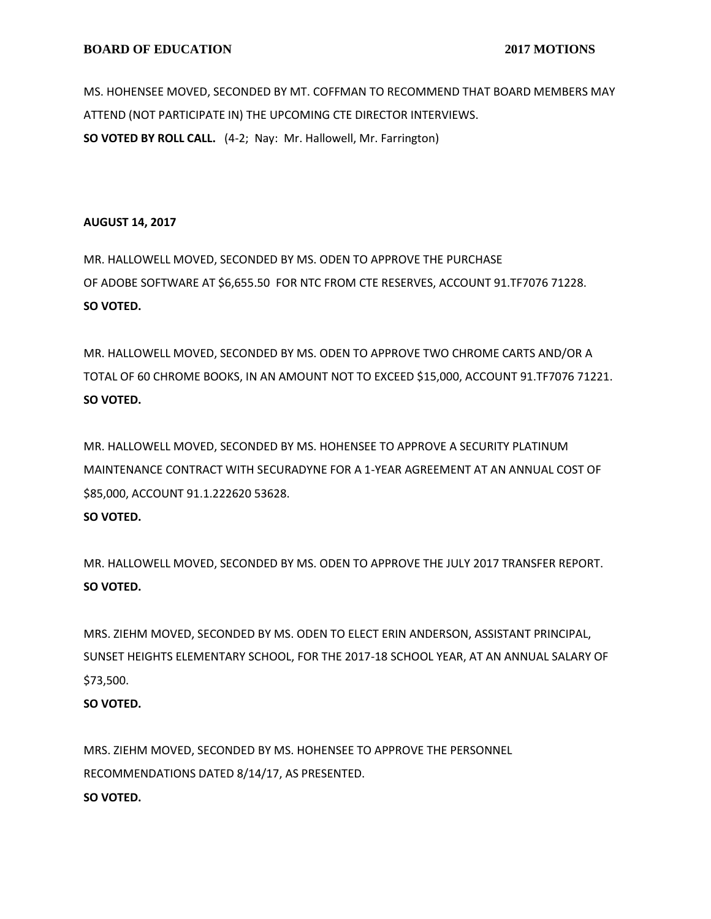MS. HOHENSEE MOVED, SECONDED BY MT. COFFMAN TO RECOMMEND THAT BOARD MEMBERS MAY ATTEND (NOT PARTICIPATE IN) THE UPCOMING CTE DIRECTOR INTERVIEWS. **SO VOTED BY ROLL CALL.** (4-2; Nay: Mr. Hallowell, Mr. Farrington)

## **AUGUST 14, 2017**

MR. HALLOWELL MOVED, SECONDED BY MS. ODEN TO APPROVE THE PURCHASE OF ADOBE SOFTWARE AT \$6,655.50 FOR NTC FROM CTE RESERVES, ACCOUNT 91.TF7076 71228. **SO VOTED.**

MR. HALLOWELL MOVED, SECONDED BY MS. ODEN TO APPROVE TWO CHROME CARTS AND/OR A TOTAL OF 60 CHROME BOOKS, IN AN AMOUNT NOT TO EXCEED \$15,000, ACCOUNT 91.TF7076 71221. **SO VOTED.**

MR. HALLOWELL MOVED, SECONDED BY MS. HOHENSEE TO APPROVE A SECURITY PLATINUM MAINTENANCE CONTRACT WITH SECURADYNE FOR A 1-YEAR AGREEMENT AT AN ANNUAL COST OF \$85,000, ACCOUNT 91.1.222620 53628. **SO VOTED.**

# MR. HALLOWELL MOVED, SECONDED BY MS. ODEN TO APPROVE THE JULY 2017 TRANSFER REPORT. **SO VOTED.**

MRS. ZIEHM MOVED, SECONDED BY MS. ODEN TO ELECT ERIN ANDERSON, ASSISTANT PRINCIPAL, SUNSET HEIGHTS ELEMENTARY SCHOOL, FOR THE 2017-18 SCHOOL YEAR, AT AN ANNUAL SALARY OF \$73,500.

## **SO VOTED.**

MRS. ZIEHM MOVED, SECONDED BY MS. HOHENSEE TO APPROVE THE PERSONNEL RECOMMENDATIONS DATED 8/14/17, AS PRESENTED. **SO VOTED.**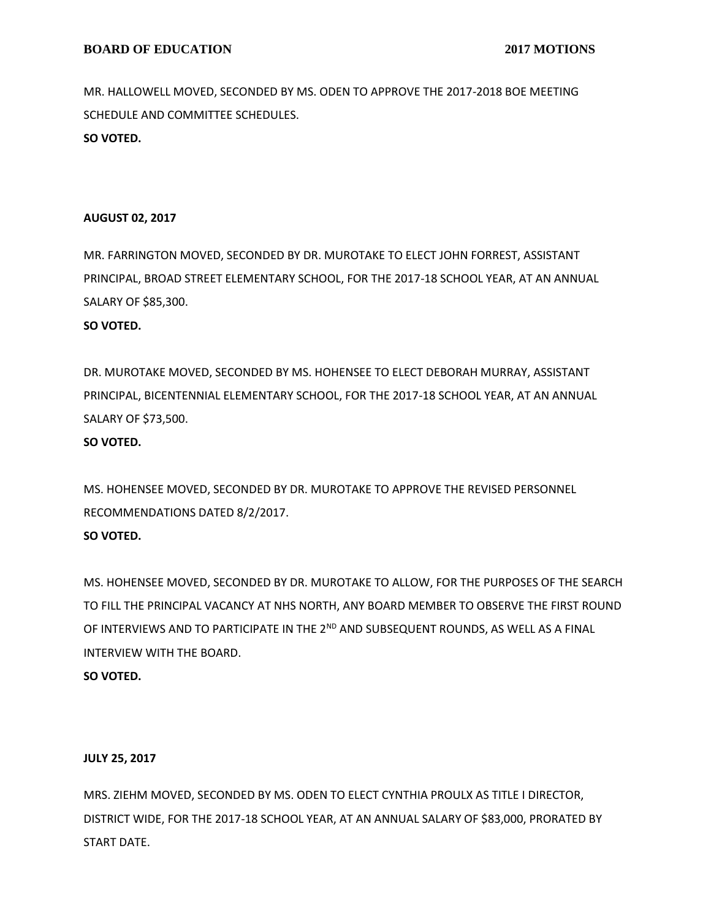MR. HALLOWELL MOVED, SECONDED BY MS. ODEN TO APPROVE THE 2017-2018 BOE MEETING SCHEDULE AND COMMITTEE SCHEDULES. **SO VOTED.**

#### **AUGUST 02, 2017**

MR. FARRINGTON MOVED, SECONDED BY DR. MUROTAKE TO ELECT JOHN FORREST, ASSISTANT PRINCIPAL, BROAD STREET ELEMENTARY SCHOOL, FOR THE 2017-18 SCHOOL YEAR, AT AN ANNUAL SALARY OF \$85,300.

# **SO VOTED.**

DR. MUROTAKE MOVED, SECONDED BY MS. HOHENSEE TO ELECT DEBORAH MURRAY, ASSISTANT PRINCIPAL, BICENTENNIAL ELEMENTARY SCHOOL, FOR THE 2017-18 SCHOOL YEAR, AT AN ANNUAL SALARY OF \$73,500.

## **SO VOTED.**

MS. HOHENSEE MOVED, SECONDED BY DR. MUROTAKE TO APPROVE THE REVISED PERSONNEL RECOMMENDATIONS DATED 8/2/2017.

## **SO VOTED.**

MS. HOHENSEE MOVED, SECONDED BY DR. MUROTAKE TO ALLOW, FOR THE PURPOSES OF THE SEARCH TO FILL THE PRINCIPAL VACANCY AT NHS NORTH, ANY BOARD MEMBER TO OBSERVE THE FIRST ROUND OF INTERVIEWS AND TO PARTICIPATE IN THE 2<sup>ND</sup> AND SUBSEQUENT ROUNDS, AS WELL AS A FINAL INTERVIEW WITH THE BOARD.

## **SO VOTED.**

## **JULY 25, 2017**

MRS. ZIEHM MOVED, SECONDED BY MS. ODEN TO ELECT CYNTHIA PROULX AS TITLE I DIRECTOR, DISTRICT WIDE, FOR THE 2017-18 SCHOOL YEAR, AT AN ANNUAL SALARY OF \$83,000, PRORATED BY START DATE.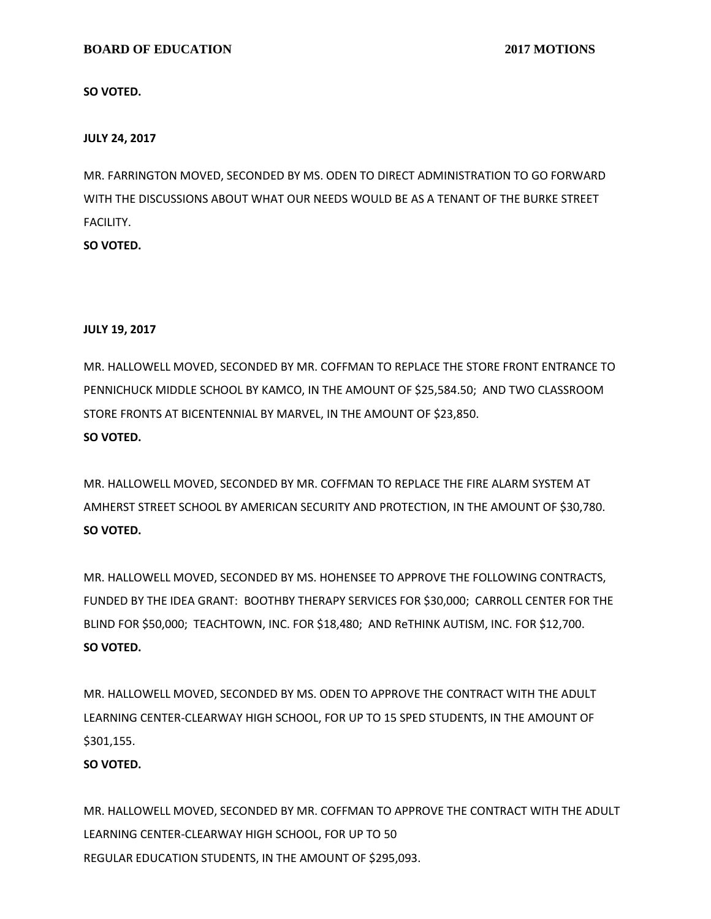#### **BOARD OF EDUCATION** 2017 MOTIONS

**SO VOTED.**

#### **JULY 24, 2017**

MR. FARRINGTON MOVED, SECONDED BY MS. ODEN TO DIRECT ADMINISTRATION TO GO FORWARD WITH THE DISCUSSIONS ABOUT WHAT OUR NEEDS WOULD BE AS A TENANT OF THE BURKE STREET FACILITY.

**SO VOTED.**

## **JULY 19, 2017**

MR. HALLOWELL MOVED, SECONDED BY MR. COFFMAN TO REPLACE THE STORE FRONT ENTRANCE TO PENNICHUCK MIDDLE SCHOOL BY KAMCO, IN THE AMOUNT OF \$25,584.50; AND TWO CLASSROOM STORE FRONTS AT BICENTENNIAL BY MARVEL, IN THE AMOUNT OF \$23,850. **SO VOTED.**

MR. HALLOWELL MOVED, SECONDED BY MR. COFFMAN TO REPLACE THE FIRE ALARM SYSTEM AT AMHERST STREET SCHOOL BY AMERICAN SECURITY AND PROTECTION, IN THE AMOUNT OF \$30,780. **SO VOTED.**

MR. HALLOWELL MOVED, SECONDED BY MS. HOHENSEE TO APPROVE THE FOLLOWING CONTRACTS, FUNDED BY THE IDEA GRANT: BOOTHBY THERAPY SERVICES FOR \$30,000; CARROLL CENTER FOR THE BLIND FOR \$50,000; TEACHTOWN, INC. FOR \$18,480; AND ReTHINK AUTISM, INC. FOR \$12,700. **SO VOTED.**

MR. HALLOWELL MOVED, SECONDED BY MS. ODEN TO APPROVE THE CONTRACT WITH THE ADULT LEARNING CENTER-CLEARWAY HIGH SCHOOL, FOR UP TO 15 SPED STUDENTS, IN THE AMOUNT OF \$301,155.

# **SO VOTED.**

MR. HALLOWELL MOVED, SECONDED BY MR. COFFMAN TO APPROVE THE CONTRACT WITH THE ADULT LEARNING CENTER-CLEARWAY HIGH SCHOOL, FOR UP TO 50 REGULAR EDUCATION STUDENTS, IN THE AMOUNT OF \$295,093.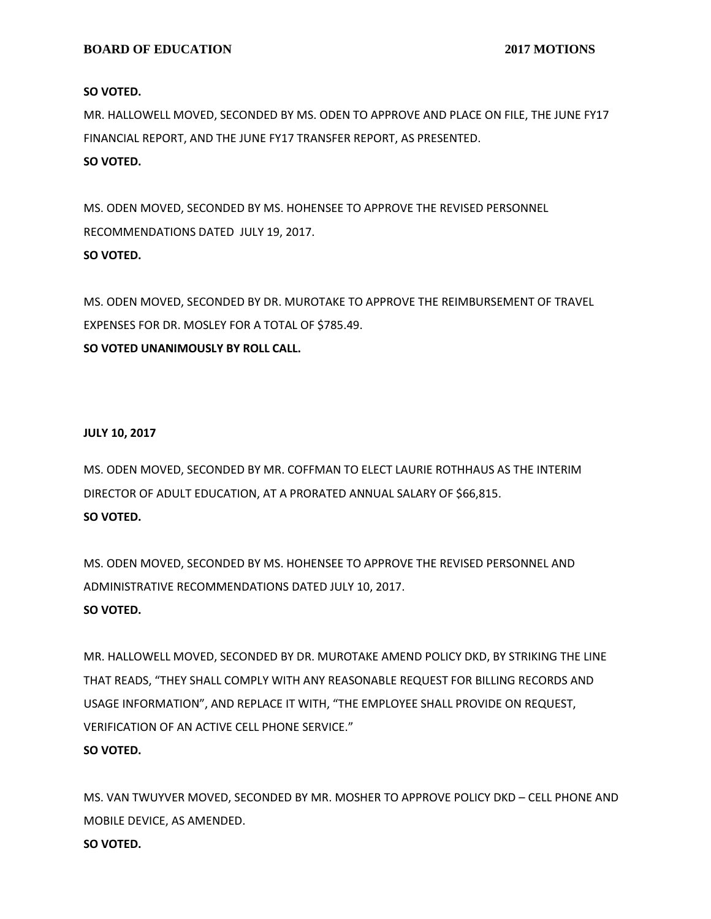#### **SO VOTED.**

MR. HALLOWELL MOVED, SECONDED BY MS. ODEN TO APPROVE AND PLACE ON FILE, THE JUNE FY17 FINANCIAL REPORT, AND THE JUNE FY17 TRANSFER REPORT, AS PRESENTED. **SO VOTED.**

MS. ODEN MOVED, SECONDED BY MS. HOHENSEE TO APPROVE THE REVISED PERSONNEL RECOMMENDATIONS DATED JULY 19, 2017. **SO VOTED.**

MS. ODEN MOVED, SECONDED BY DR. MUROTAKE TO APPROVE THE REIMBURSEMENT OF TRAVEL EXPENSES FOR DR. MOSLEY FOR A TOTAL OF \$785.49.

**SO VOTED UNANIMOUSLY BY ROLL CALL.**

#### **JULY 10, 2017**

MS. ODEN MOVED, SECONDED BY MR. COFFMAN TO ELECT LAURIE ROTHHAUS AS THE INTERIM DIRECTOR OF ADULT EDUCATION, AT A PRORATED ANNUAL SALARY OF \$66,815. **SO VOTED.**

MS. ODEN MOVED, SECONDED BY MS. HOHENSEE TO APPROVE THE REVISED PERSONNEL AND ADMINISTRATIVE RECOMMENDATIONS DATED JULY 10, 2017. **SO VOTED.**

MR. HALLOWELL MOVED, SECONDED BY DR. MUROTAKE AMEND POLICY DKD, BY STRIKING THE LINE THAT READS, "THEY SHALL COMPLY WITH ANY REASONABLE REQUEST FOR BILLING RECORDS AND USAGE INFORMATION", AND REPLACE IT WITH, "THE EMPLOYEE SHALL PROVIDE ON REQUEST, VERIFICATION OF AN ACTIVE CELL PHONE SERVICE."

# **SO VOTED.**

MS. VAN TWUYVER MOVED, SECONDED BY MR. MOSHER TO APPROVE POLICY DKD – CELL PHONE AND MOBILE DEVICE, AS AMENDED. **SO VOTED.**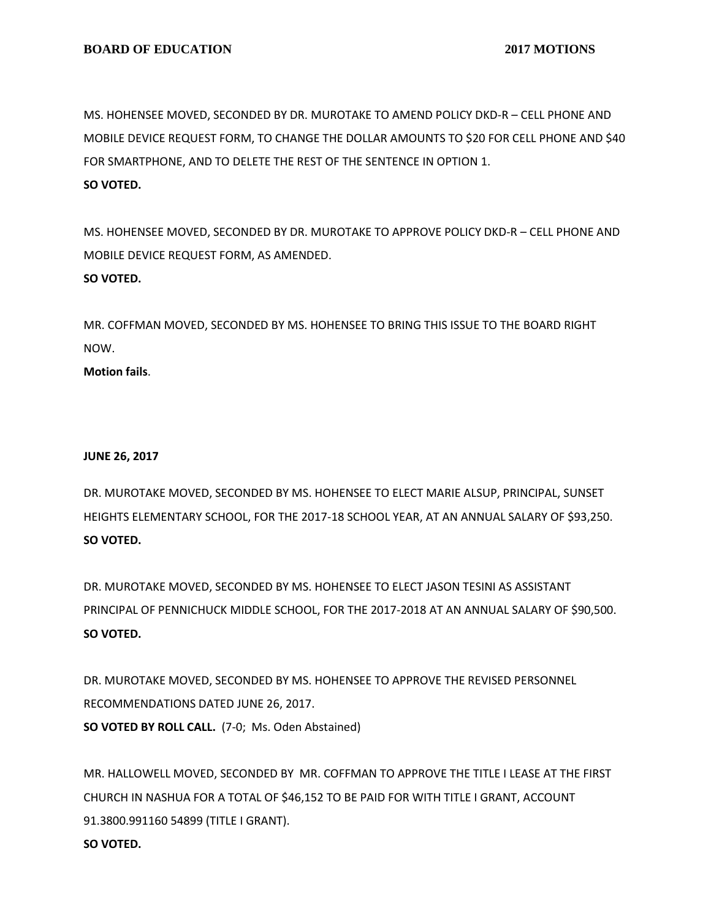MS. HOHENSEE MOVED, SECONDED BY DR. MUROTAKE TO AMEND POLICY DKD-R – CELL PHONE AND MOBILE DEVICE REQUEST FORM, TO CHANGE THE DOLLAR AMOUNTS TO \$20 FOR CELL PHONE AND \$40 FOR SMARTPHONE, AND TO DELETE THE REST OF THE SENTENCE IN OPTION 1. **SO VOTED.**

MS. HOHENSEE MOVED, SECONDED BY DR. MUROTAKE TO APPROVE POLICY DKD-R – CELL PHONE AND MOBILE DEVICE REQUEST FORM, AS AMENDED. **SO VOTED.**

MR. COFFMAN MOVED, SECONDED BY MS. HOHENSEE TO BRING THIS ISSUE TO THE BOARD RIGHT NOW.

**Motion fails**.

#### **JUNE 26, 2017**

DR. MUROTAKE MOVED, SECONDED BY MS. HOHENSEE TO ELECT MARIE ALSUP, PRINCIPAL, SUNSET HEIGHTS ELEMENTARY SCHOOL, FOR THE 2017-18 SCHOOL YEAR, AT AN ANNUAL SALARY OF \$93,250. **SO VOTED.**

DR. MUROTAKE MOVED, SECONDED BY MS. HOHENSEE TO ELECT JASON TESINI AS ASSISTANT PRINCIPAL OF PENNICHUCK MIDDLE SCHOOL, FOR THE 2017-2018 AT AN ANNUAL SALARY OF \$90,500. **SO VOTED.**

DR. MUROTAKE MOVED, SECONDED BY MS. HOHENSEE TO APPROVE THE REVISED PERSONNEL RECOMMENDATIONS DATED JUNE 26, 2017. **SO VOTED BY ROLL CALL.** (7-0; Ms. Oden Abstained)

MR. HALLOWELL MOVED, SECONDED BY MR. COFFMAN TO APPROVE THE TITLE I LEASE AT THE FIRST CHURCH IN NASHUA FOR A TOTAL OF \$46,152 TO BE PAID FOR WITH TITLE I GRANT, ACCOUNT 91.3800.991160 54899 (TITLE I GRANT). **SO VOTED.**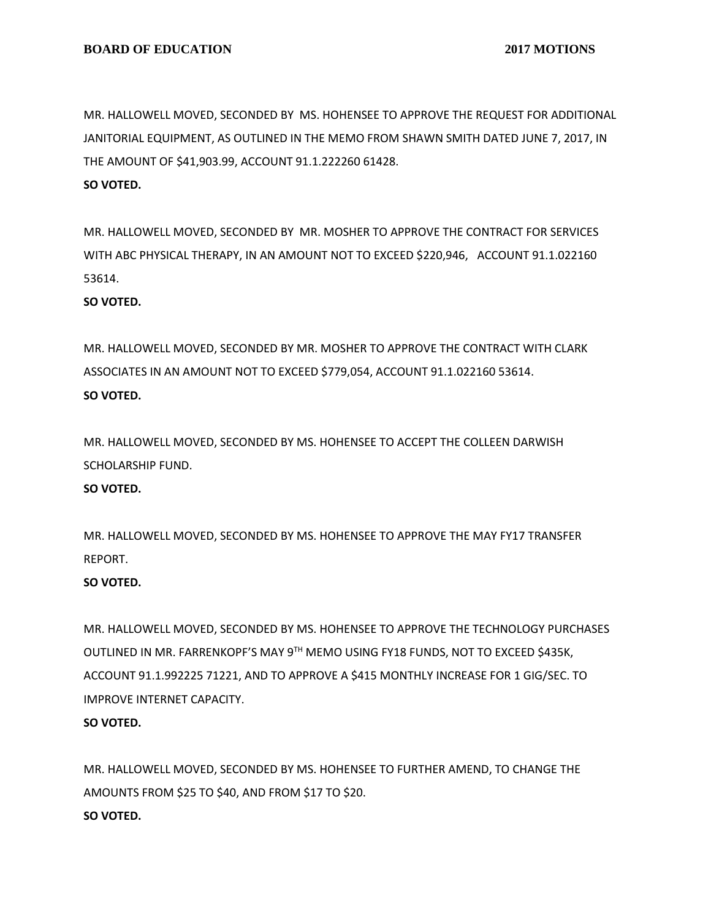MR. HALLOWELL MOVED, SECONDED BY MS. HOHENSEE TO APPROVE THE REQUEST FOR ADDITIONAL JANITORIAL EQUIPMENT, AS OUTLINED IN THE MEMO FROM SHAWN SMITH DATED JUNE 7, 2017, IN THE AMOUNT OF \$41,903.99, ACCOUNT 91.1.222260 61428.

# **SO VOTED.**

MR. HALLOWELL MOVED, SECONDED BY MR. MOSHER TO APPROVE THE CONTRACT FOR SERVICES WITH ABC PHYSICAL THERAPY, IN AN AMOUNT NOT TO EXCEED \$220,946, ACCOUNT 91.1.022160 53614.

#### **SO VOTED.**

MR. HALLOWELL MOVED, SECONDED BY MR. MOSHER TO APPROVE THE CONTRACT WITH CLARK ASSOCIATES IN AN AMOUNT NOT TO EXCEED \$779,054, ACCOUNT 91.1.022160 53614. **SO VOTED.**

MR. HALLOWELL MOVED, SECONDED BY MS. HOHENSEE TO ACCEPT THE COLLEEN DARWISH SCHOLARSHIP FUND.

## **SO VOTED.**

MR. HALLOWELL MOVED, SECONDED BY MS. HOHENSEE TO APPROVE THE MAY FY17 TRANSFER REPORT.

# **SO VOTED.**

MR. HALLOWELL MOVED, SECONDED BY MS. HOHENSEE TO APPROVE THE TECHNOLOGY PURCHASES OUTLINED IN MR. FARRENKOPF'S MAY 9TH MEMO USING FY18 FUNDS, NOT TO EXCEED \$435K, ACCOUNT 91.1.992225 71221, AND TO APPROVE A \$415 MONTHLY INCREASE FOR 1 GIG/SEC. TO IMPROVE INTERNET CAPACITY.

## **SO VOTED.**

MR. HALLOWELL MOVED, SECONDED BY MS. HOHENSEE TO FURTHER AMEND, TO CHANGE THE AMOUNTS FROM \$25 TO \$40, AND FROM \$17 TO \$20. **SO VOTED.**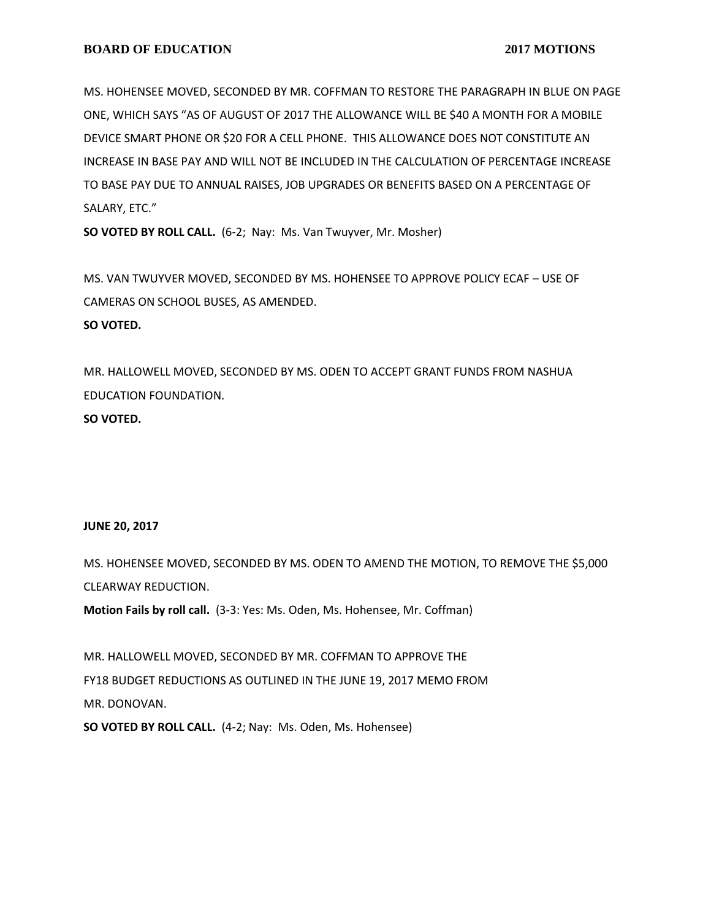MS. HOHENSEE MOVED, SECONDED BY MR. COFFMAN TO RESTORE THE PARAGRAPH IN BLUE ON PAGE ONE, WHICH SAYS "AS OF AUGUST OF 2017 THE ALLOWANCE WILL BE \$40 A MONTH FOR A MOBILE DEVICE SMART PHONE OR \$20 FOR A CELL PHONE. THIS ALLOWANCE DOES NOT CONSTITUTE AN INCREASE IN BASE PAY AND WILL NOT BE INCLUDED IN THE CALCULATION OF PERCENTAGE INCREASE TO BASE PAY DUE TO ANNUAL RAISES, JOB UPGRADES OR BENEFITS BASED ON A PERCENTAGE OF SALARY, ETC."

**SO VOTED BY ROLL CALL.** (6-2; Nay: Ms. Van Twuyver, Mr. Mosher)

MS. VAN TWUYVER MOVED, SECONDED BY MS. HOHENSEE TO APPROVE POLICY ECAF – USE OF CAMERAS ON SCHOOL BUSES, AS AMENDED. **SO VOTED.**

MR. HALLOWELL MOVED, SECONDED BY MS. ODEN TO ACCEPT GRANT FUNDS FROM NASHUA EDUCATION FOUNDATION. **SO VOTED.**

## **JUNE 20, 2017**

MS. HOHENSEE MOVED, SECONDED BY MS. ODEN TO AMEND THE MOTION, TO REMOVE THE \$5,000 CLEARWAY REDUCTION.

**Motion Fails by roll call.** (3-3: Yes: Ms. Oden, Ms. Hohensee, Mr. Coffman)

MR. HALLOWELL MOVED, SECONDED BY MR. COFFMAN TO APPROVE THE FY18 BUDGET REDUCTIONS AS OUTLINED IN THE JUNE 19, 2017 MEMO FROM MR. DONOVAN.

**SO VOTED BY ROLL CALL.** (4-2; Nay: Ms. Oden, Ms. Hohensee)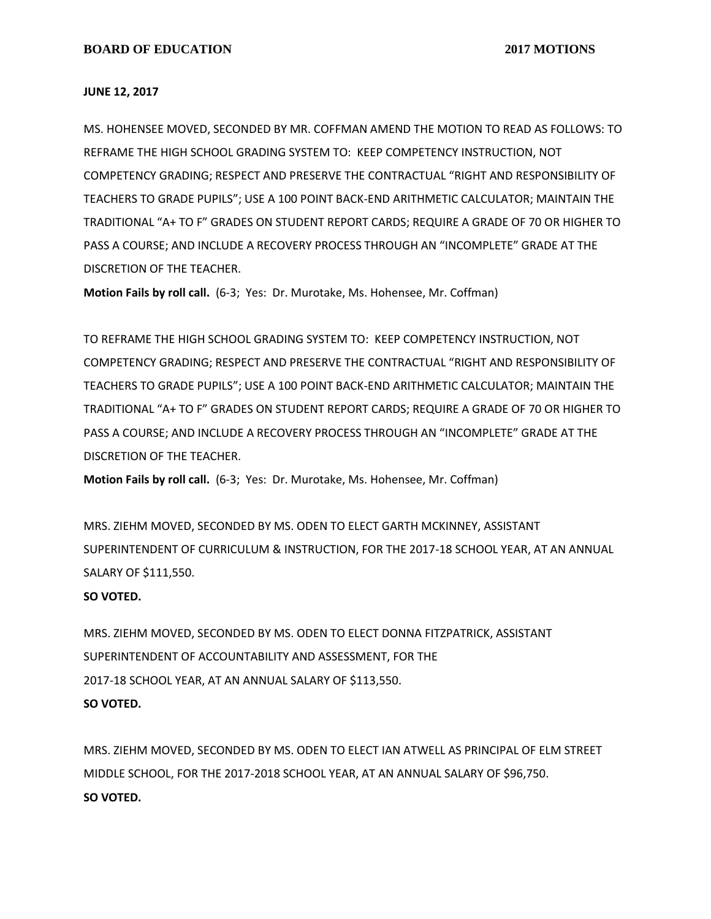#### **JUNE 12, 2017**

MS. HOHENSEE MOVED, SECONDED BY MR. COFFMAN AMEND THE MOTION TO READ AS FOLLOWS: TO REFRAME THE HIGH SCHOOL GRADING SYSTEM TO: KEEP COMPETENCY INSTRUCTION, NOT COMPETENCY GRADING; RESPECT AND PRESERVE THE CONTRACTUAL "RIGHT AND RESPONSIBILITY OF TEACHERS TO GRADE PUPILS"; USE A 100 POINT BACK-END ARITHMETIC CALCULATOR; MAINTAIN THE TRADITIONAL "A+ TO F" GRADES ON STUDENT REPORT CARDS; REQUIRE A GRADE OF 70 OR HIGHER TO PASS A COURSE; AND INCLUDE A RECOVERY PROCESS THROUGH AN "INCOMPLETE" GRADE AT THE DISCRETION OF THE TEACHER.

**Motion Fails by roll call.** (6-3; Yes: Dr. Murotake, Ms. Hohensee, Mr. Coffman)

TO REFRAME THE HIGH SCHOOL GRADING SYSTEM TO: KEEP COMPETENCY INSTRUCTION, NOT COMPETENCY GRADING; RESPECT AND PRESERVE THE CONTRACTUAL "RIGHT AND RESPONSIBILITY OF TEACHERS TO GRADE PUPILS"; USE A 100 POINT BACK-END ARITHMETIC CALCULATOR; MAINTAIN THE TRADITIONAL "A+ TO F" GRADES ON STUDENT REPORT CARDS; REQUIRE A GRADE OF 70 OR HIGHER TO PASS A COURSE; AND INCLUDE A RECOVERY PROCESS THROUGH AN "INCOMPLETE" GRADE AT THE DISCRETION OF THE TEACHER.

**Motion Fails by roll call.** (6-3; Yes: Dr. Murotake, Ms. Hohensee, Mr. Coffman)

MRS. ZIEHM MOVED, SECONDED BY MS. ODEN TO ELECT GARTH MCKINNEY, ASSISTANT SUPERINTENDENT OF CURRICULUM & INSTRUCTION, FOR THE 2017-18 SCHOOL YEAR, AT AN ANNUAL SALARY OF \$111,550.

#### **SO VOTED.**

MRS. ZIEHM MOVED, SECONDED BY MS. ODEN TO ELECT DONNA FITZPATRICK, ASSISTANT SUPERINTENDENT OF ACCOUNTABILITY AND ASSESSMENT, FOR THE 2017-18 SCHOOL YEAR, AT AN ANNUAL SALARY OF \$113,550. **SO VOTED.**

MRS. ZIEHM MOVED, SECONDED BY MS. ODEN TO ELECT IAN ATWELL AS PRINCIPAL OF ELM STREET MIDDLE SCHOOL, FOR THE 2017-2018 SCHOOL YEAR, AT AN ANNUAL SALARY OF \$96,750. **SO VOTED.**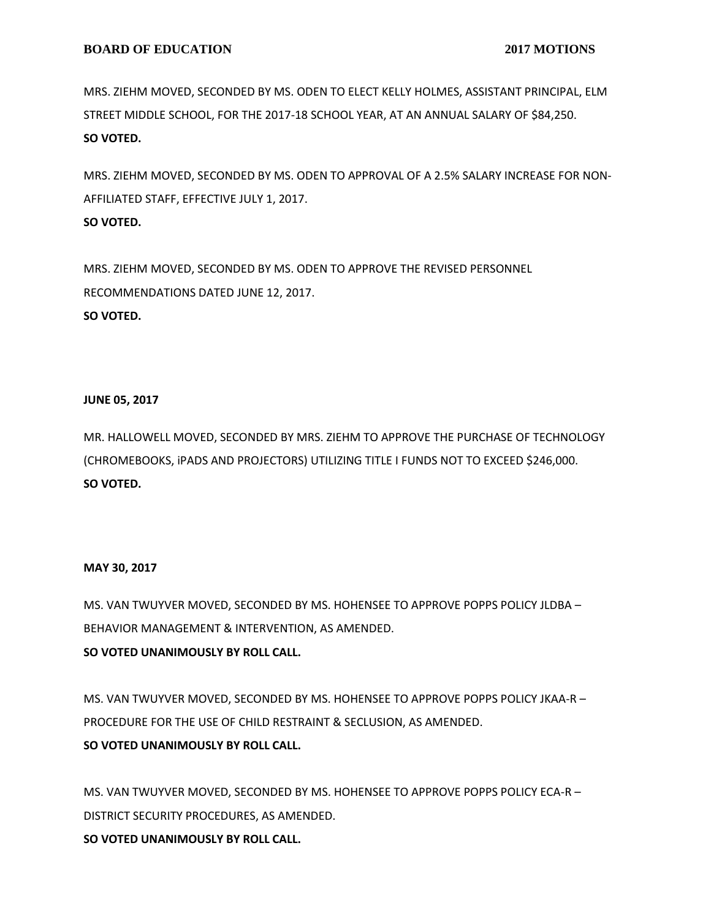MRS. ZIEHM MOVED, SECONDED BY MS. ODEN TO ELECT KELLY HOLMES, ASSISTANT PRINCIPAL, ELM STREET MIDDLE SCHOOL, FOR THE 2017-18 SCHOOL YEAR, AT AN ANNUAL SALARY OF \$84,250. **SO VOTED.**

MRS. ZIEHM MOVED, SECONDED BY MS. ODEN TO APPROVAL OF A 2.5% SALARY INCREASE FOR NON-AFFILIATED STAFF, EFFECTIVE JULY 1, 2017.

## **SO VOTED.**

MRS. ZIEHM MOVED, SECONDED BY MS. ODEN TO APPROVE THE REVISED PERSONNEL RECOMMENDATIONS DATED JUNE 12, 2017. **SO VOTED.**

# **JUNE 05, 2017**

MR. HALLOWELL MOVED, SECONDED BY MRS. ZIEHM TO APPROVE THE PURCHASE OF TECHNOLOGY (CHROMEBOOKS, iPADS AND PROJECTORS) UTILIZING TITLE I FUNDS NOT TO EXCEED \$246,000. **SO VOTED.**

## **MAY 30, 2017**

MS. VAN TWUYVER MOVED, SECONDED BY MS. HOHENSEE TO APPROVE POPPS POLICY JLDBA – BEHAVIOR MANAGEMENT & INTERVENTION, AS AMENDED. **SO VOTED UNANIMOUSLY BY ROLL CALL.**

MS. VAN TWUYVER MOVED, SECONDED BY MS. HOHENSEE TO APPROVE POPPS POLICY JKAA-R – PROCEDURE FOR THE USE OF CHILD RESTRAINT & SECLUSION, AS AMENDED. **SO VOTED UNANIMOUSLY BY ROLL CALL.**

MS. VAN TWUYVER MOVED, SECONDED BY MS. HOHENSEE TO APPROVE POPPS POLICY ECA-R – DISTRICT SECURITY PROCEDURES, AS AMENDED.

**SO VOTED UNANIMOUSLY BY ROLL CALL.**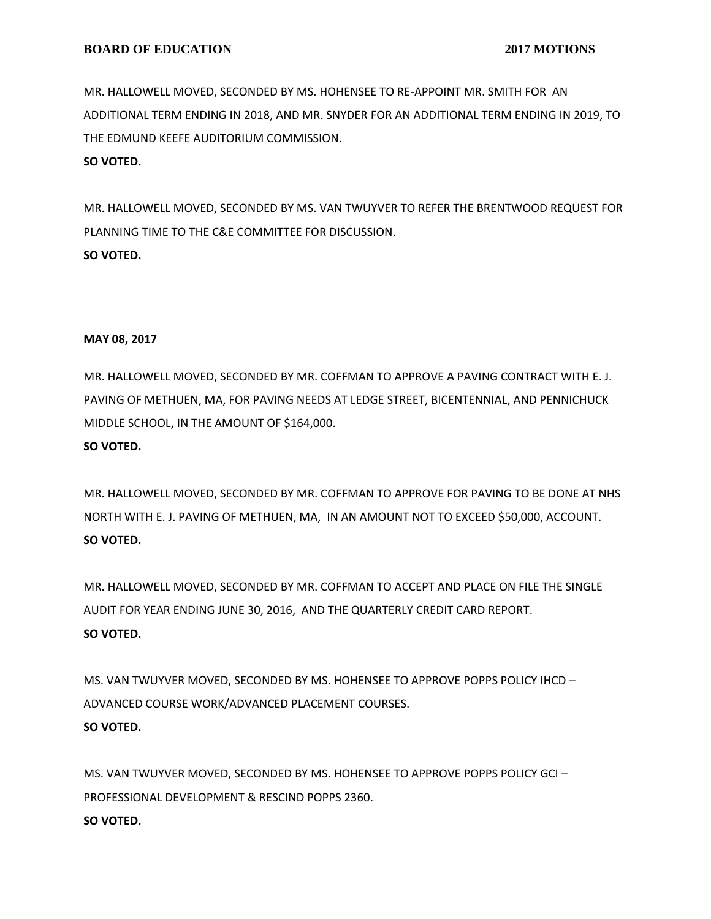MR. HALLOWELL MOVED, SECONDED BY MS. HOHENSEE TO RE-APPOINT MR. SMITH FOR AN ADDITIONAL TERM ENDING IN 2018, AND MR. SNYDER FOR AN ADDITIONAL TERM ENDING IN 2019, TO THE EDMUND KEEFE AUDITORIUM COMMISSION.

# **SO VOTED.**

MR. HALLOWELL MOVED, SECONDED BY MS. VAN TWUYVER TO REFER THE BRENTWOOD REQUEST FOR PLANNING TIME TO THE C&E COMMITTEE FOR DISCUSSION. **SO VOTED.**

#### **MAY 08, 2017**

MR. HALLOWELL MOVED, SECONDED BY MR. COFFMAN TO APPROVE A PAVING CONTRACT WITH E. J. PAVING OF METHUEN, MA, FOR PAVING NEEDS AT LEDGE STREET, BICENTENNIAL, AND PENNICHUCK MIDDLE SCHOOL, IN THE AMOUNT OF \$164,000.

# **SO VOTED.**

MR. HALLOWELL MOVED, SECONDED BY MR. COFFMAN TO APPROVE FOR PAVING TO BE DONE AT NHS NORTH WITH E. J. PAVING OF METHUEN, MA, IN AN AMOUNT NOT TO EXCEED \$50,000, ACCOUNT. **SO VOTED.**

MR. HALLOWELL MOVED, SECONDED BY MR. COFFMAN TO ACCEPT AND PLACE ON FILE THE SINGLE AUDIT FOR YEAR ENDING JUNE 30, 2016, AND THE QUARTERLY CREDIT CARD REPORT. **SO VOTED.**

MS. VAN TWUYVER MOVED, SECONDED BY MS. HOHENSEE TO APPROVE POPPS POLICY IHCD – ADVANCED COURSE WORK/ADVANCED PLACEMENT COURSES. **SO VOTED.**

MS. VAN TWUYVER MOVED, SECONDED BY MS. HOHENSEE TO APPROVE POPPS POLICY GCI – PROFESSIONAL DEVELOPMENT & RESCIND POPPS 2360. **SO VOTED.**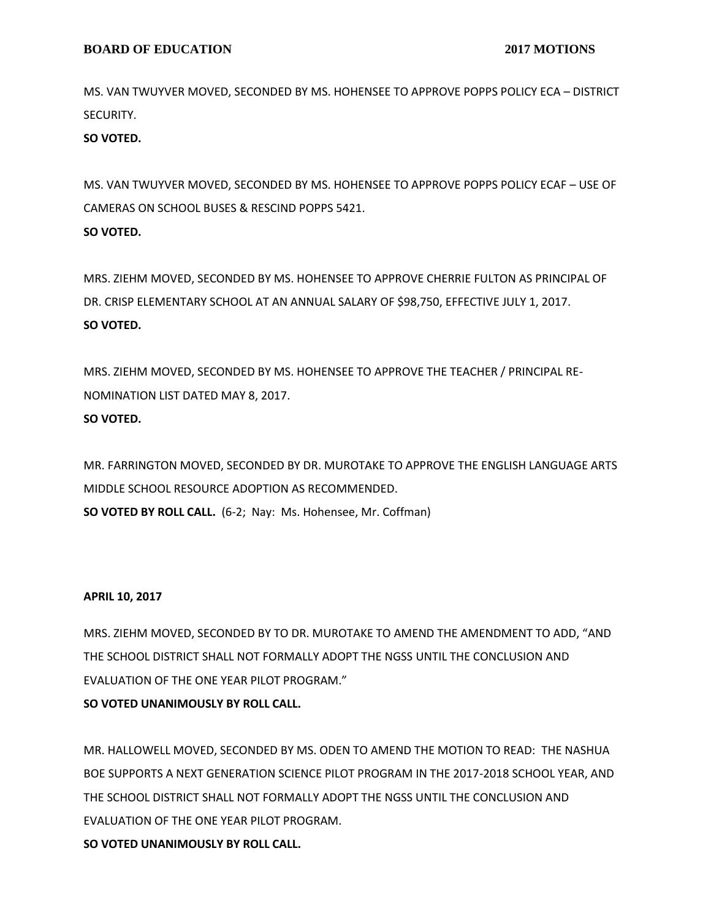MS. VAN TWUYVER MOVED, SECONDED BY MS. HOHENSEE TO APPROVE POPPS POLICY ECA – DISTRICT SECURITY.

**SO VOTED.**

MS. VAN TWUYVER MOVED, SECONDED BY MS. HOHENSEE TO APPROVE POPPS POLICY ECAF – USE OF CAMERAS ON SCHOOL BUSES & RESCIND POPPS 5421. **SO VOTED.**

MRS. ZIEHM MOVED, SECONDED BY MS. HOHENSEE TO APPROVE CHERRIE FULTON AS PRINCIPAL OF DR. CRISP ELEMENTARY SCHOOL AT AN ANNUAL SALARY OF \$98,750, EFFECTIVE JULY 1, 2017. **SO VOTED.**

MRS. ZIEHM MOVED, SECONDED BY MS. HOHENSEE TO APPROVE THE TEACHER / PRINCIPAL RE-NOMINATION LIST DATED MAY 8, 2017. **SO VOTED.**

MR. FARRINGTON MOVED, SECONDED BY DR. MUROTAKE TO APPROVE THE ENGLISH LANGUAGE ARTS MIDDLE SCHOOL RESOURCE ADOPTION AS RECOMMENDED. **SO VOTED BY ROLL CALL.** (6-2; Nay: Ms. Hohensee, Mr. Coffman)

#### **APRIL 10, 2017**

MRS. ZIEHM MOVED, SECONDED BY TO DR. MUROTAKE TO AMEND THE AMENDMENT TO ADD, "AND THE SCHOOL DISTRICT SHALL NOT FORMALLY ADOPT THE NGSS UNTIL THE CONCLUSION AND EVALUATION OF THE ONE YEAR PILOT PROGRAM."

## **SO VOTED UNANIMOUSLY BY ROLL CALL.**

MR. HALLOWELL MOVED, SECONDED BY MS. ODEN TO AMEND THE MOTION TO READ: THE NASHUA BOE SUPPORTS A NEXT GENERATION SCIENCE PILOT PROGRAM IN THE 2017-2018 SCHOOL YEAR, AND THE SCHOOL DISTRICT SHALL NOT FORMALLY ADOPT THE NGSS UNTIL THE CONCLUSION AND EVALUATION OF THE ONE YEAR PILOT PROGRAM.

**SO VOTED UNANIMOUSLY BY ROLL CALL.**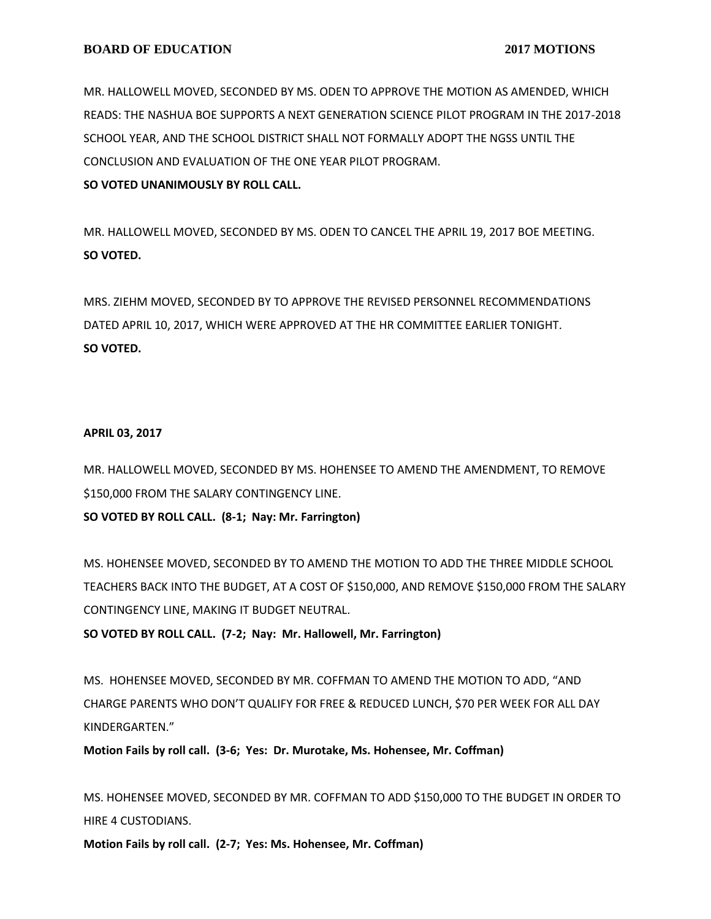MR. HALLOWELL MOVED, SECONDED BY MS. ODEN TO APPROVE THE MOTION AS AMENDED, WHICH READS: THE NASHUA BOE SUPPORTS A NEXT GENERATION SCIENCE PILOT PROGRAM IN THE 2017-2018 SCHOOL YEAR, AND THE SCHOOL DISTRICT SHALL NOT FORMALLY ADOPT THE NGSS UNTIL THE CONCLUSION AND EVALUATION OF THE ONE YEAR PILOT PROGRAM.

**SO VOTED UNANIMOUSLY BY ROLL CALL.**

MR. HALLOWELL MOVED, SECONDED BY MS. ODEN TO CANCEL THE APRIL 19, 2017 BOE MEETING. **SO VOTED.**

MRS. ZIEHM MOVED, SECONDED BY TO APPROVE THE REVISED PERSONNEL RECOMMENDATIONS DATED APRIL 10, 2017, WHICH WERE APPROVED AT THE HR COMMITTEE EARLIER TONIGHT. **SO VOTED.**

#### **APRIL 03, 2017**

MR. HALLOWELL MOVED, SECONDED BY MS. HOHENSEE TO AMEND THE AMENDMENT, TO REMOVE \$150,000 FROM THE SALARY CONTINGENCY LINE.

**SO VOTED BY ROLL CALL. (8-1; Nay: Mr. Farrington)**

MS. HOHENSEE MOVED, SECONDED BY TO AMEND THE MOTION TO ADD THE THREE MIDDLE SCHOOL TEACHERS BACK INTO THE BUDGET, AT A COST OF \$150,000, AND REMOVE \$150,000 FROM THE SALARY CONTINGENCY LINE, MAKING IT BUDGET NEUTRAL.

**SO VOTED BY ROLL CALL. (7-2; Nay: Mr. Hallowell, Mr. Farrington)**

MS. HOHENSEE MOVED, SECONDED BY MR. COFFMAN TO AMEND THE MOTION TO ADD, "AND CHARGE PARENTS WHO DON'T QUALIFY FOR FREE & REDUCED LUNCH, \$70 PER WEEK FOR ALL DAY KINDERGARTEN."

**Motion Fails by roll call. (3-6; Yes: Dr. Murotake, Ms. Hohensee, Mr. Coffman)**

MS. HOHENSEE MOVED, SECONDED BY MR. COFFMAN TO ADD \$150,000 TO THE BUDGET IN ORDER TO HIRE 4 CUSTODIANS.

**Motion Fails by roll call. (2-7; Yes: Ms. Hohensee, Mr. Coffman)**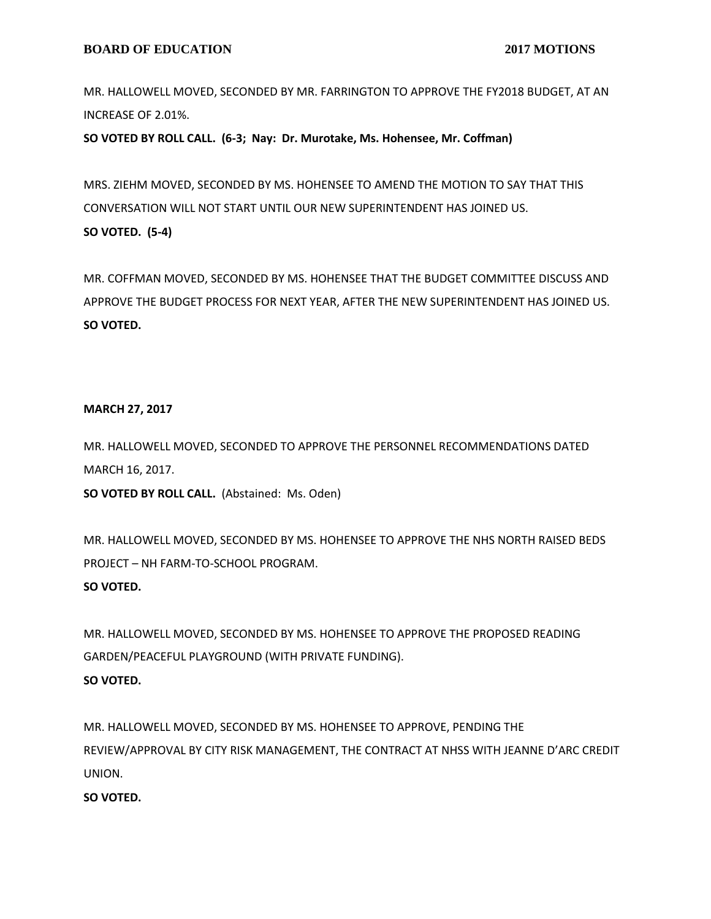MR. HALLOWELL MOVED, SECONDED BY MR. FARRINGTON TO APPROVE THE FY2018 BUDGET, AT AN INCREASE OF 2.01%.

**SO VOTED BY ROLL CALL. (6-3; Nay: Dr. Murotake, Ms. Hohensee, Mr. Coffman)**

MRS. ZIEHM MOVED, SECONDED BY MS. HOHENSEE TO AMEND THE MOTION TO SAY THAT THIS CONVERSATION WILL NOT START UNTIL OUR NEW SUPERINTENDENT HAS JOINED US. **SO VOTED. (5-4)**

MR. COFFMAN MOVED, SECONDED BY MS. HOHENSEE THAT THE BUDGET COMMITTEE DISCUSS AND APPROVE THE BUDGET PROCESS FOR NEXT YEAR, AFTER THE NEW SUPERINTENDENT HAS JOINED US. **SO VOTED.**

#### **MARCH 27, 2017**

MR. HALLOWELL MOVED, SECONDED TO APPROVE THE PERSONNEL RECOMMENDATIONS DATED MARCH 16, 2017.

**SO VOTED BY ROLL CALL.** (Abstained: Ms. Oden)

MR. HALLOWELL MOVED, SECONDED BY MS. HOHENSEE TO APPROVE THE NHS NORTH RAISED BEDS PROJECT – NH FARM-TO-SCHOOL PROGRAM. **SO VOTED.**

MR. HALLOWELL MOVED, SECONDED BY MS. HOHENSEE TO APPROVE THE PROPOSED READING GARDEN/PEACEFUL PLAYGROUND (WITH PRIVATE FUNDING). **SO VOTED.**

MR. HALLOWELL MOVED, SECONDED BY MS. HOHENSEE TO APPROVE, PENDING THE REVIEW/APPROVAL BY CITY RISK MANAGEMENT, THE CONTRACT AT NHSS WITH JEANNE D'ARC CREDIT UNION.

# **SO VOTED.**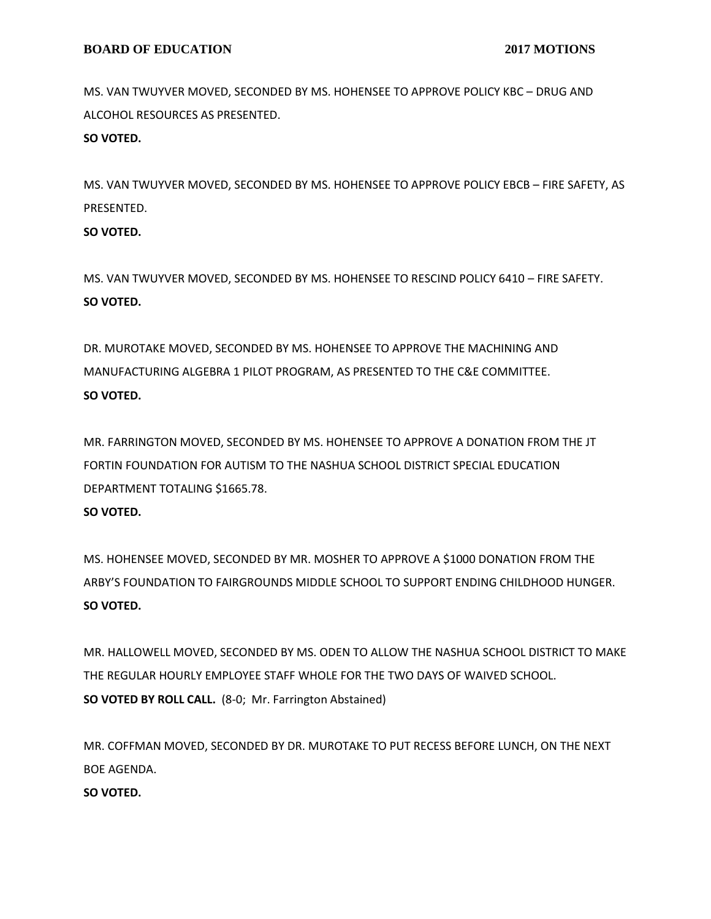MS. VAN TWUYVER MOVED, SECONDED BY MS. HOHENSEE TO APPROVE POLICY KBC – DRUG AND ALCOHOL RESOURCES AS PRESENTED.

**SO VOTED.**

MS. VAN TWUYVER MOVED, SECONDED BY MS. HOHENSEE TO APPROVE POLICY EBCB – FIRE SAFETY, AS PRESENTED.

# **SO VOTED.**

MS. VAN TWUYVER MOVED, SECONDED BY MS. HOHENSEE TO RESCIND POLICY 6410 – FIRE SAFETY. **SO VOTED.**

DR. MUROTAKE MOVED, SECONDED BY MS. HOHENSEE TO APPROVE THE MACHINING AND MANUFACTURING ALGEBRA 1 PILOT PROGRAM, AS PRESENTED TO THE C&E COMMITTEE. **SO VOTED.**

MR. FARRINGTON MOVED, SECONDED BY MS. HOHENSEE TO APPROVE A DONATION FROM THE JT FORTIN FOUNDATION FOR AUTISM TO THE NASHUA SCHOOL DISTRICT SPECIAL EDUCATION DEPARTMENT TOTALING \$1665.78.

## **SO VOTED.**

MS. HOHENSEE MOVED, SECONDED BY MR. MOSHER TO APPROVE A \$1000 DONATION FROM THE ARBY'S FOUNDATION TO FAIRGROUNDS MIDDLE SCHOOL TO SUPPORT ENDING CHILDHOOD HUNGER. **SO VOTED.**

MR. HALLOWELL MOVED, SECONDED BY MS. ODEN TO ALLOW THE NASHUA SCHOOL DISTRICT TO MAKE THE REGULAR HOURLY EMPLOYEE STAFF WHOLE FOR THE TWO DAYS OF WAIVED SCHOOL. **SO VOTED BY ROLL CALL.** (8-0; Mr. Farrington Abstained)

MR. COFFMAN MOVED, SECONDED BY DR. MUROTAKE TO PUT RECESS BEFORE LUNCH, ON THE NEXT BOE AGENDA.

**SO VOTED.**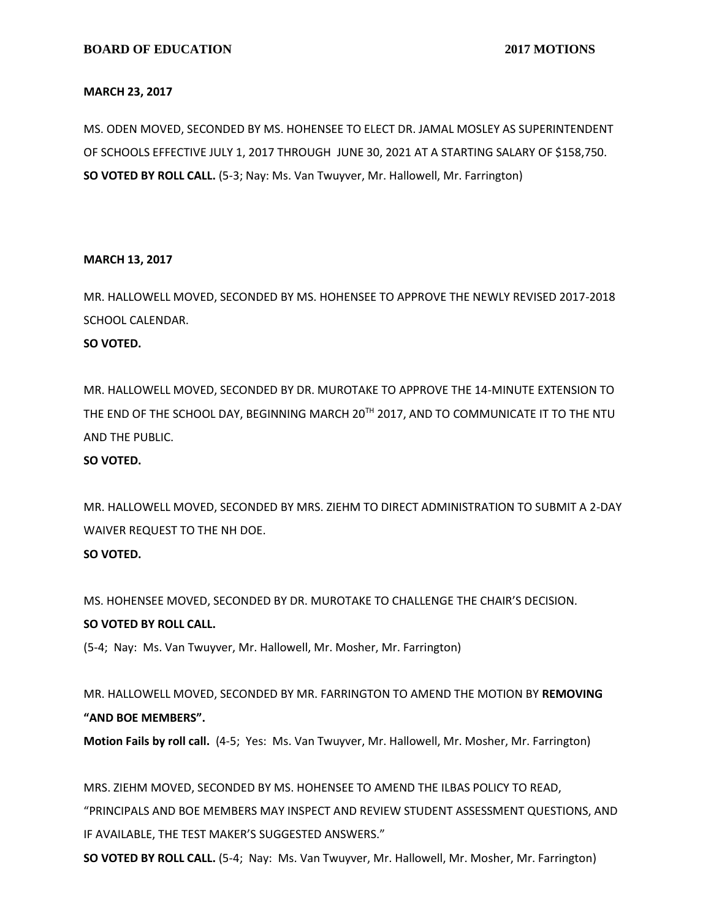#### **BOARD OF EDUCATION** 2017 MOTIONS

#### **MARCH 23, 2017**

MS. ODEN MOVED, SECONDED BY MS. HOHENSEE TO ELECT DR. JAMAL MOSLEY AS SUPERINTENDENT OF SCHOOLS EFFECTIVE JULY 1, 2017 THROUGH JUNE 30, 2021 AT A STARTING SALARY OF \$158,750. **SO VOTED BY ROLL CALL.** (5-3; Nay: Ms. Van Twuyver, Mr. Hallowell, Mr. Farrington)

#### **MARCH 13, 2017**

MR. HALLOWELL MOVED, SECONDED BY MS. HOHENSEE TO APPROVE THE NEWLY REVISED 2017-2018 SCHOOL CALENDAR.

# **SO VOTED.**

MR. HALLOWELL MOVED, SECONDED BY DR. MUROTAKE TO APPROVE THE 14-MINUTE EXTENSION TO THE END OF THE SCHOOL DAY, BEGINNING MARCH 20TH 2017, AND TO COMMUNICATE IT TO THE NTU AND THE PUBLIC.

#### **SO VOTED.**

MR. HALLOWELL MOVED, SECONDED BY MRS. ZIEHM TO DIRECT ADMINISTRATION TO SUBMIT A 2-DAY WAIVER REQUEST TO THE NH DOE.

## **SO VOTED.**

MS. HOHENSEE MOVED, SECONDED BY DR. MUROTAKE TO CHALLENGE THE CHAIR'S DECISION. **SO VOTED BY ROLL CALL.**

(5-4; Nay: Ms. Van Twuyver, Mr. Hallowell, Mr. Mosher, Mr. Farrington)

MR. HALLOWELL MOVED, SECONDED BY MR. FARRINGTON TO AMEND THE MOTION BY **REMOVING "AND BOE MEMBERS".**

**Motion Fails by roll call.** (4-5; Yes: Ms. Van Twuyver, Mr. Hallowell, Mr. Mosher, Mr. Farrington)

MRS. ZIEHM MOVED, SECONDED BY MS. HOHENSEE TO AMEND THE ILBAS POLICY TO READ, "PRINCIPALS AND BOE MEMBERS MAY INSPECT AND REVIEW STUDENT ASSESSMENT QUESTIONS, AND IF AVAILABLE, THE TEST MAKER'S SUGGESTED ANSWERS."

**SO VOTED BY ROLL CALL.** (5-4; Nay: Ms. Van Twuyver, Mr. Hallowell, Mr. Mosher, Mr. Farrington)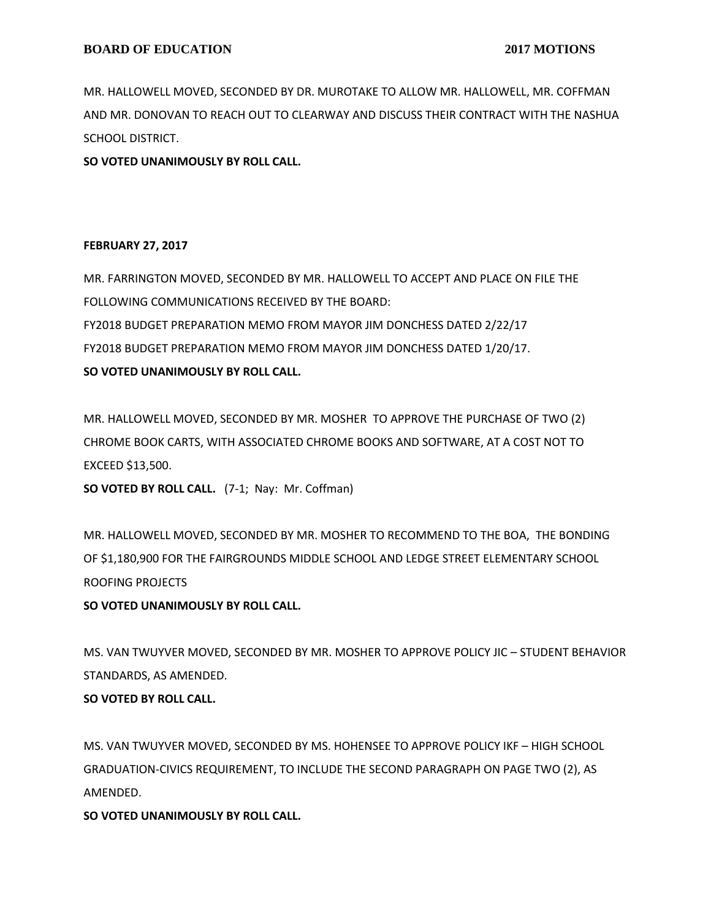MR. HALLOWELL MOVED, SECONDED BY DR. MUROTAKE TO ALLOW MR. HALLOWELL, MR. COFFMAN AND MR. DONOVAN TO REACH OUT TO CLEARWAY AND DISCUSS THEIR CONTRACT WITH THE NASHUA SCHOOL DISTRICT.

**SO VOTED UNANIMOUSLY BY ROLL CALL.**

## **FEBRUARY 27, 2017**

MR. FARRINGTON MOVED, SECONDED BY MR. HALLOWELL TO ACCEPT AND PLACE ON FILE THE FOLLOWING COMMUNICATIONS RECEIVED BY THE BOARD: FY2018 BUDGET PREPARATION MEMO FROM MAYOR JIM DONCHESS DATED 2/22/17 FY2018 BUDGET PREPARATION MEMO FROM MAYOR JIM DONCHESS DATED 1/20/17. **SO VOTED UNANIMOUSLY BY ROLL CALL.**

MR. HALLOWELL MOVED, SECONDED BY MR. MOSHER TO APPROVE THE PURCHASE OF TWO (2) CHROME BOOK CARTS, WITH ASSOCIATED CHROME BOOKS AND SOFTWARE, AT A COST NOT TO EXCEED \$13,500.

**SO VOTED BY ROLL CALL.** (7-1; Nay: Mr. Coffman)

MR. HALLOWELL MOVED, SECONDED BY MR. MOSHER TO RECOMMEND TO THE BOA, THE BONDING OF \$1,180,900 FOR THE FAIRGROUNDS MIDDLE SCHOOL AND LEDGE STREET ELEMENTARY SCHOOL ROOFING PROJECTS

# **SO VOTED UNANIMOUSLY BY ROLL CALL.**

MS. VAN TWUYVER MOVED, SECONDED BY MR. MOSHER TO APPROVE POLICY JIC – STUDENT BEHAVIOR STANDARDS, AS AMENDED.

# **SO VOTED BY ROLL CALL.**

MS. VAN TWUYVER MOVED, SECONDED BY MS. HOHENSEE TO APPROVE POLICY IKF – HIGH SCHOOL GRADUATION-CIVICS REQUIREMENT, TO INCLUDE THE SECOND PARAGRAPH ON PAGE TWO (2), AS AMENDED.

**SO VOTED UNANIMOUSLY BY ROLL CALL.**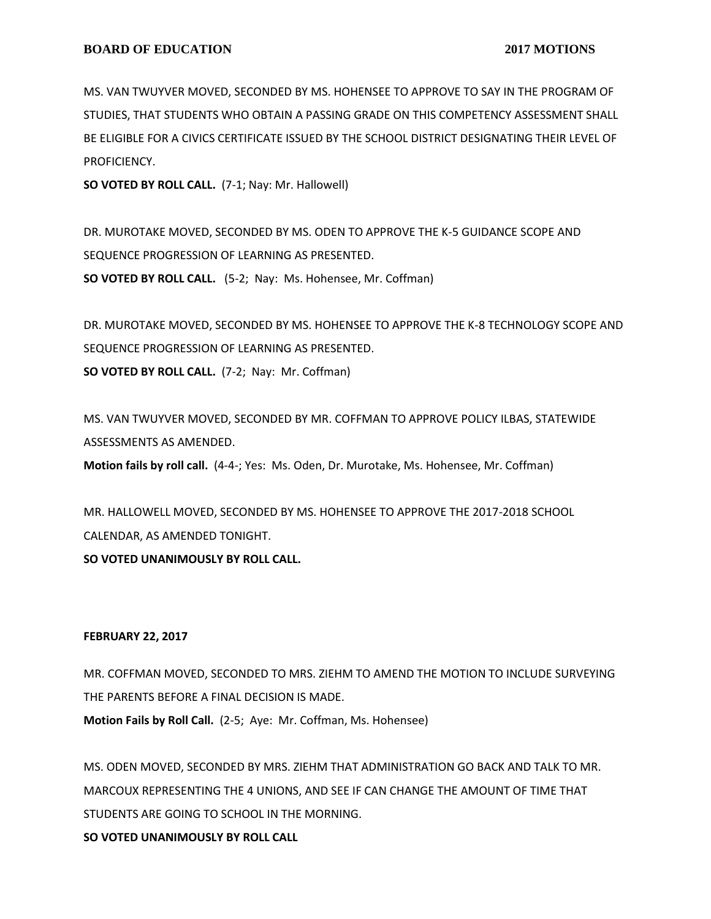MS. VAN TWUYVER MOVED, SECONDED BY MS. HOHENSEE TO APPROVE TO SAY IN THE PROGRAM OF STUDIES, THAT STUDENTS WHO OBTAIN A PASSING GRADE ON THIS COMPETENCY ASSESSMENT SHALL BE ELIGIBLE FOR A CIVICS CERTIFICATE ISSUED BY THE SCHOOL DISTRICT DESIGNATING THEIR LEVEL OF PROFICIENCY.

**SO VOTED BY ROLL CALL.** (7-1; Nay: Mr. Hallowell)

DR. MUROTAKE MOVED, SECONDED BY MS. ODEN TO APPROVE THE K-5 GUIDANCE SCOPE AND SEQUENCE PROGRESSION OF LEARNING AS PRESENTED. **SO VOTED BY ROLL CALL.** (5-2; Nay: Ms. Hohensee, Mr. Coffman)

DR. MUROTAKE MOVED, SECONDED BY MS. HOHENSEE TO APPROVE THE K-8 TECHNOLOGY SCOPE AND SEQUENCE PROGRESSION OF LEARNING AS PRESENTED. **SO VOTED BY ROLL CALL.** (7-2; Nay: Mr. Coffman)

MS. VAN TWUYVER MOVED, SECONDED BY MR. COFFMAN TO APPROVE POLICY ILBAS, STATEWIDE ASSESSMENTS AS AMENDED.

**Motion fails by roll call.** (4-4-; Yes: Ms. Oden, Dr. Murotake, Ms. Hohensee, Mr. Coffman)

MR. HALLOWELL MOVED, SECONDED BY MS. HOHENSEE TO APPROVE THE 2017-2018 SCHOOL CALENDAR, AS AMENDED TONIGHT.

**SO VOTED UNANIMOUSLY BY ROLL CALL.**

#### **FEBRUARY 22, 2017**

MR. COFFMAN MOVED, SECONDED TO MRS. ZIEHM TO AMEND THE MOTION TO INCLUDE SURVEYING THE PARENTS BEFORE A FINAL DECISION IS MADE. **Motion Fails by Roll Call.** (2-5; Aye: Mr. Coffman, Ms. Hohensee)

MS. ODEN MOVED, SECONDED BY MRS. ZIEHM THAT ADMINISTRATION GO BACK AND TALK TO MR. MARCOUX REPRESENTING THE 4 UNIONS, AND SEE IF CAN CHANGE THE AMOUNT OF TIME THAT STUDENTS ARE GOING TO SCHOOL IN THE MORNING.

**SO VOTED UNANIMOUSLY BY ROLL CALL**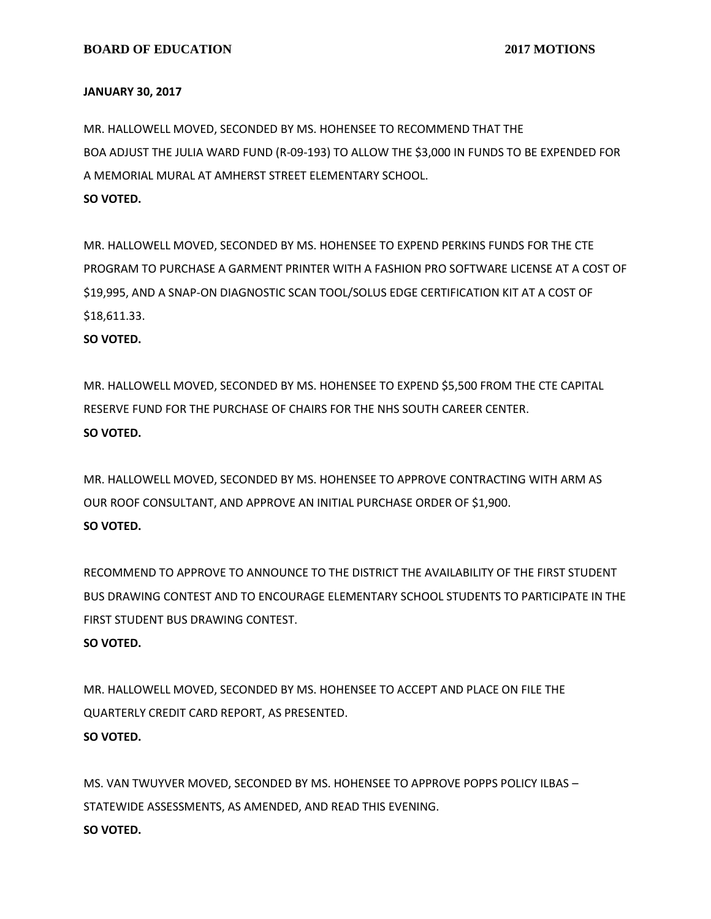#### **JANUARY 30, 2017**

MR. HALLOWELL MOVED, SECONDED BY MS. HOHENSEE TO RECOMMEND THAT THE BOA ADJUST THE JULIA WARD FUND (R-09-193) TO ALLOW THE \$3,000 IN FUNDS TO BE EXPENDED FOR A MEMORIAL MURAL AT AMHERST STREET ELEMENTARY SCHOOL. **SO VOTED.**

MR. HALLOWELL MOVED, SECONDED BY MS. HOHENSEE TO EXPEND PERKINS FUNDS FOR THE CTE PROGRAM TO PURCHASE A GARMENT PRINTER WITH A FASHION PRO SOFTWARE LICENSE AT A COST OF \$19,995, AND A SNAP-ON DIAGNOSTIC SCAN TOOL/SOLUS EDGE CERTIFICATION KIT AT A COST OF \$18,611.33.

#### **SO VOTED.**

MR. HALLOWELL MOVED, SECONDED BY MS. HOHENSEE TO EXPEND \$5,500 FROM THE CTE CAPITAL RESERVE FUND FOR THE PURCHASE OF CHAIRS FOR THE NHS SOUTH CAREER CENTER. **SO VOTED.**

MR. HALLOWELL MOVED, SECONDED BY MS. HOHENSEE TO APPROVE CONTRACTING WITH ARM AS OUR ROOF CONSULTANT, AND APPROVE AN INITIAL PURCHASE ORDER OF \$1,900. **SO VOTED.**

RECOMMEND TO APPROVE TO ANNOUNCE TO THE DISTRICT THE AVAILABILITY OF THE FIRST STUDENT BUS DRAWING CONTEST AND TO ENCOURAGE ELEMENTARY SCHOOL STUDENTS TO PARTICIPATE IN THE FIRST STUDENT BUS DRAWING CONTEST.

## **SO VOTED.**

MR. HALLOWELL MOVED, SECONDED BY MS. HOHENSEE TO ACCEPT AND PLACE ON FILE THE QUARTERLY CREDIT CARD REPORT, AS PRESENTED. **SO VOTED.**

MS. VAN TWUYVER MOVED, SECONDED BY MS. HOHENSEE TO APPROVE POPPS POLICY ILBAS – STATEWIDE ASSESSMENTS, AS AMENDED, AND READ THIS EVENING. **SO VOTED.**